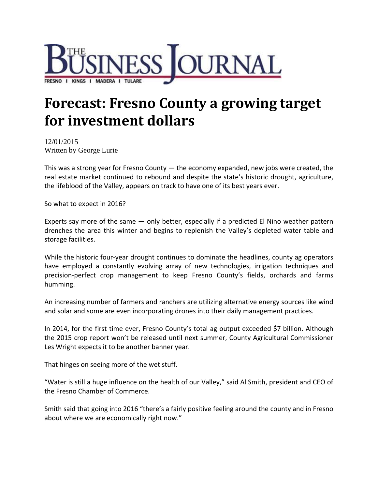

## **Forecast: Fresno County a growing target for investment dollars**

12/01/2015 Written by George Lurie

This was a strong year for Fresno County  $-$  the economy expanded, new jobs were created, the real estate market continued to rebound and despite the state's historic drought, agriculture, the lifeblood of the Valley, appears on track to have one of its best years ever.

So what to expect in 2016?

Experts say more of the same — only better, especially if a predicted El Nino weather pattern drenches the area this winter and begins to replenish the Valley's depleted water table and storage facilities.

While the historic four-year drought continues to dominate the headlines, county ag operators have employed a constantly evolving array of new technologies, irrigation techniques and precision‐perfect crop management to keep Fresno County's fields, orchards and farms humming.

An increasing number of farmers and ranchers are utilizing alternative energy sources like wind and solar and some are even incorporating drones into their daily management practices.

In 2014, for the first time ever, Fresno County's total ag output exceeded \$7 billion. Although the 2015 crop report won't be released until next summer, County Agricultural Commissioner Les Wright expects it to be another banner year.

That hinges on seeing more of the wet stuff.

"Water is still a huge influence on the health of our Valley," said Al Smith, president and CEO of the Fresno Chamber of Commerce.

Smith said that going into 2016 "there's a fairly positive feeling around the county and in Fresno about where we are economically right now."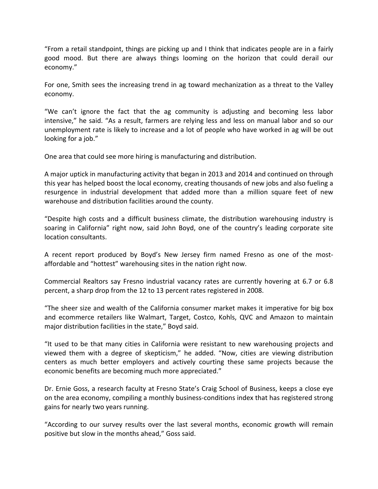"From a retail standpoint, things are picking up and I think that indicates people are in a fairly good mood. But there are always things looming on the horizon that could derail our economy."

For one, Smith sees the increasing trend in ag toward mechanization as a threat to the Valley economy.

"We can't ignore the fact that the ag community is adjusting and becoming less labor intensive," he said. "As a result, farmers are relying less and less on manual labor and so our unemployment rate is likely to increase and a lot of people who have worked in ag will be out looking for a job."

One area that could see more hiring is manufacturing and distribution.

A major uptick in manufacturing activity that began in 2013 and 2014 and continued on through this year has helped boost the local economy, creating thousands of new jobs and also fueling a resurgence in industrial development that added more than a million square feet of new warehouse and distribution facilities around the county.

"Despite high costs and a difficult business climate, the distribution warehousing industry is soaring in California" right now, said John Boyd, one of the country's leading corporate site location consultants.

A recent report produced by Boyd's New Jersey firm named Fresno as one of the most‐ affordable and "hottest" warehousing sites in the nation right now.

Commercial Realtors say Fresno industrial vacancy rates are currently hovering at 6.7 or 6.8 percent, a sharp drop from the 12 to 13 percent rates registered in 2008.

"The sheer size and wealth of the California consumer market makes it imperative for big box and ecommerce retailers like Walmart, Target, Costco, Kohls, QVC and Amazon to maintain major distribution facilities in the state," Boyd said.

"It used to be that many cities in California were resistant to new warehousing projects and viewed them with a degree of skepticism," he added. "Now, cities are viewing distribution centers as much better employers and actively courting these same projects because the economic benefits are becoming much more appreciated."

Dr. Ernie Goss, a research faculty at Fresno State's Craig School of Business, keeps a close eye on the area economy, compiling a monthly business‐conditions index that has registered strong gains for nearly two years running.

"According to our survey results over the last several months, economic growth will remain positive but slow in the months ahead," Goss said.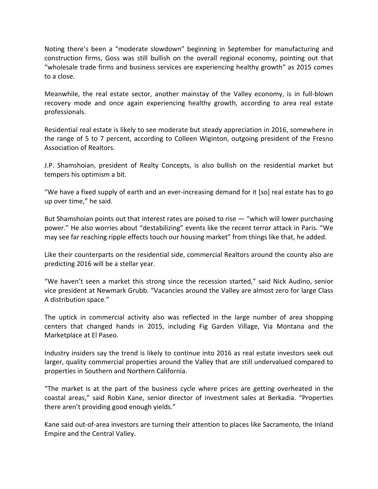Noting there's been a "moderate slowdown" beginning in September for manufacturing and construction firms, Goss was still bullish on the overall regional economy, pointing out that "wholesale trade firms and business services are experiencing healthy growth" as 2015 comes to a close.

Meanwhile, the real estate sector, another mainstay of the Valley economy, is in full‐blown recovery mode and once again experiencing healthy growth, according to area real estate professionals.

Residential real estate is likely to see moderate but steady appreciation in 2016, somewhere in the range of 5 to 7 percent, according to Colleen Wiginton, outgoing president of the Fresno Association of Realtors.

J.P. Shamshoian, president of Realty Concepts, is also bullish on the residential market but tempers his optimism a bit.

"We have a fixed supply of earth and an ever‐increasing demand for it [so] real estate has to go up over time," he said.

But Shamshoian points out that interest rates are poised to rise — "which will lower purchasing power." He also worries about "destabilizing" events like the recent terror attack in Paris. "We may see far reaching ripple effects touch our housing market" from things like that, he added.

Like their counterparts on the residential side, commercial Realtors around the county also are predicting 2016 will be a stellar year.

"We haven't seen a market this strong since the recession started," said Nick Audino, senior vice president at Newmark Grubb. "Vacancies around the Valley are almost zero for large Class A distribution space."

The uptick in commercial activity also was reflected in the large number of area shopping centers that changed hands in 2015, including Fig Garden Village, Via Montana and the Marketplace at El Paseo.

Industry insiders say the trend is likely to continue into 2016 as real estate investors seek out larger, quality commercial properties around the Valley that are still undervalued compared to properties in Southern and Northern California.

"The market is at the part of the business cycle where prices are getting overheated in the coastal areas," said Robin Kane, senior director of investment sales at Berkadia. "Properties there aren't providing good enough yields."

Kane said out‐of‐area investors are turning their attention to places like Sacramento, the Inland Empire and the Central Valley.